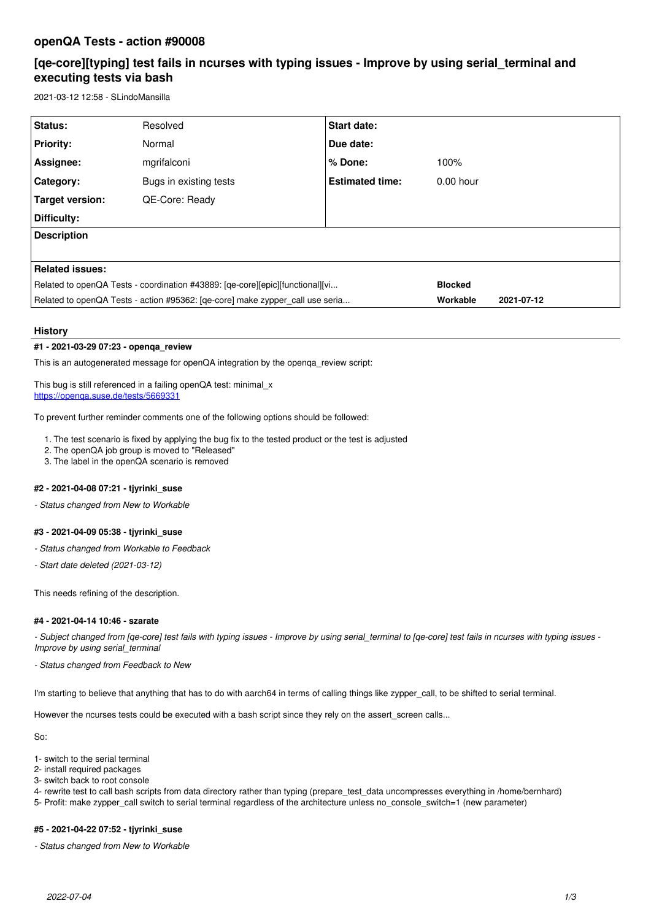# **openQA Tests - action #90008**

# **[qe-core][typing] test fails in ncurses with typing issues - Improve by using serial\_terminal and executing tests via bash**

2021-03-12 12:58 - SLindoMansilla

| Status:                                                                       | Resolved               | <b>Start date:</b>     |                |            |
|-------------------------------------------------------------------------------|------------------------|------------------------|----------------|------------|
| <b>Priority:</b>                                                              | Normal                 | Due date:              |                |            |
| Assignee:                                                                     | mgrifalconi            | % Done:                | 100%           |            |
| <b>Category:</b>                                                              | Bugs in existing tests | <b>Estimated time:</b> | $0.00$ hour    |            |
| Target version:                                                               | QE-Core: Ready         |                        |                |            |
| Difficulty:                                                                   |                        |                        |                |            |
| <b>Description</b>                                                            |                        |                        |                |            |
|                                                                               |                        |                        |                |            |
| <b>Related issues:</b>                                                        |                        |                        |                |            |
| Related to openQA Tests - coordination #43889: [qe-core][epic][functional][vi |                        |                        | <b>Blocked</b> |            |
| Related to openQA Tests - action #95362: [qe-core] make zypper call use seria |                        |                        | Workable       | 2021-07-12 |

## **History**

## **#1 - 2021-03-29 07:23 - openqa\_review**

This is an autogenerated message for openQA integration by the openqa\_review script:

This bug is still referenced in a failing openQA test: minimal x <https://openqa.suse.de/tests/5669331>

To prevent further reminder comments one of the following options should be followed:

- 1. The test scenario is fixed by applying the bug fix to the tested product or the test is adjusted
- 2. The openQA job group is moved to "Released"
- 3. The label in the openQA scenario is removed

# **#2 - 2021-04-08 07:21 - tjyrinki\_suse**

*- Status changed from New to Workable*

## **#3 - 2021-04-09 05:38 - tjyrinki\_suse**

- *Status changed from Workable to Feedback*
- *Start date deleted (2021-03-12)*

This needs refining of the description.

#### **#4 - 2021-04-14 10:46 - szarate**

*- Subject changed from [qe-core] test fails with typing issues - Improve by using serial\_terminal to [qe-core] test fails in ncurses with typing issues - Improve by using serial\_terminal*

*- Status changed from Feedback to New*

I'm starting to believe that anything that has to do with aarch64 in terms of calling things like zypper call, to be shifted to serial terminal.

However the ncurses tests could be executed with a bash script since they rely on the assert\_screen calls...

So:

- 1- switch to the serial terminal
- 2- install required packages
- 3- switch back to root console
- 4- rewrite test to call bash scripts from data directory rather than typing (prepare\_test\_data uncompresses everything in /home/bernhard) 5- Profit: make zypper\_call switch to serial terminal regardless of the architecture unless no\_console\_switch=1 (new parameter)

### **#5 - 2021-04-22 07:52 - tjyrinki\_suse**

*- Status changed from New to Workable*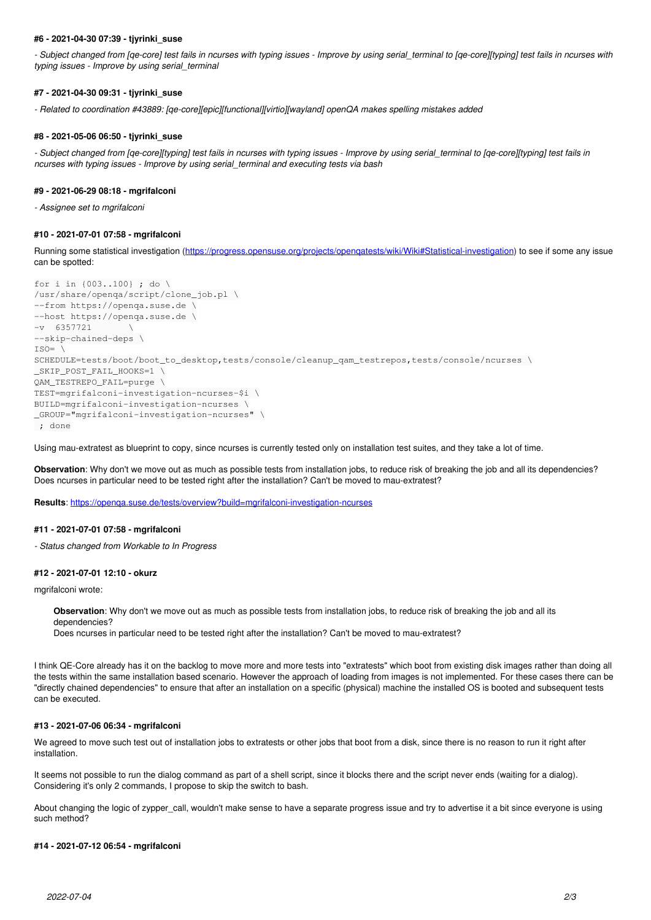#### **#6 - 2021-04-30 07:39 - tjyrinki\_suse**

- Subject changed from [qe-core] test fails in ncurses with typing issues - Improve by using serial terminal to [qe-core][typing] test fails in ncurses with *typing issues - Improve by using serial\_terminal*

### **#7 - 2021-04-30 09:31 - tjyrinki\_suse**

*- Related to coordination #43889: [qe-core][epic][functional][virtio][wayland] openQA makes spelling mistakes added*

#### **#8 - 2021-05-06 06:50 - tjyrinki\_suse**

*- Subject changed from [qe-core][typing] test fails in ncurses with typing issues - Improve by using serial\_terminal to [qe-core][typing] test fails in ncurses with typing issues - Improve by using serial\_terminal and executing tests via bash*

#### **#9 - 2021-06-29 08:18 - mgrifalconi**

*- Assignee set to mgrifalconi*

### **#10 - 2021-07-01 07:58 - mgrifalconi**

Running some statistical investigation (https://progress.opensuse.org/projects/opengatests/wiki/Wiki#Statistical-investigation) to see if some any issue can be spotted:

```
for i in {003..100} ; do \
/usr/share/openqa/script/clone_job.pl \
--from https://openqa.suse.de \
--host https://openqa.suse.de \
-v 6357721
--skip-chained-deps \
ISO=SCHEDULE=tests/boot/boot_to_desktop,tests/console/cleanup_qam_testrepos,tests/console/ncurses \
_SKIP_POST_FAIL_HOOKS=1 \
QAM_TESTREPO_FAIL=purge \
TEST=mgrifalconi-investigation-ncurses-$i \
BUILD=mgrifalconi-investigation-ncurses \
_GROUP="mgrifalconi-investigation-ncurses" \
 ; done
```
Using mau-extratest as blueprint to copy, since ncurses is currently tested only on installation test suites, and they take a lot of time.

**Observation**: Why don't we move out as much as possible tests from installation jobs, to reduce risk of breaking the job and all its dependencies? Does ncurses in particular need to be tested right after the installation? Can't be moved to mau-extratest?

**Results**: <https://openqa.suse.de/tests/overview?build=mgrifalconi-investigation-ncurses>

#### **#11 - 2021-07-01 07:58 - mgrifalconi**

*- Status changed from Workable to In Progress*

#### **#12 - 2021-07-01 12:10 - okurz**

mgrifalconi wrote:

```
Observation: Why don't we move out as much as possible tests from installation jobs, to reduce risk of breaking the job and all its
dependencies?
```
Does ncurses in particular need to be tested right after the installation? Can't be moved to mau-extratest?

I think QE-Core already has it on the backlog to move more and more tests into "extratests" which boot from existing disk images rather than doing all the tests within the same installation based scenario. However the approach of loading from images is not implemented. For these cases there can be "directly chained dependencies" to ensure that after an installation on a specific (physical) machine the installed OS is booted and subsequent tests can be executed.

#### **#13 - 2021-07-06 06:34 - mgrifalconi**

We agreed to move such test out of installation jobs to extratests or other jobs that boot from a disk, since there is no reason to run it right after installation.

It seems not possible to run the dialog command as part of a shell script, since it blocks there and the script never ends (waiting for a dialog). Considering it's only 2 commands, I propose to skip the switch to bash.

About changing the logic of zypper\_call, wouldn't make sense to have a separate progress issue and try to advertise it a bit since everyone is using such method?

#### **#14 - 2021-07-12 06:54 - mgrifalconi**